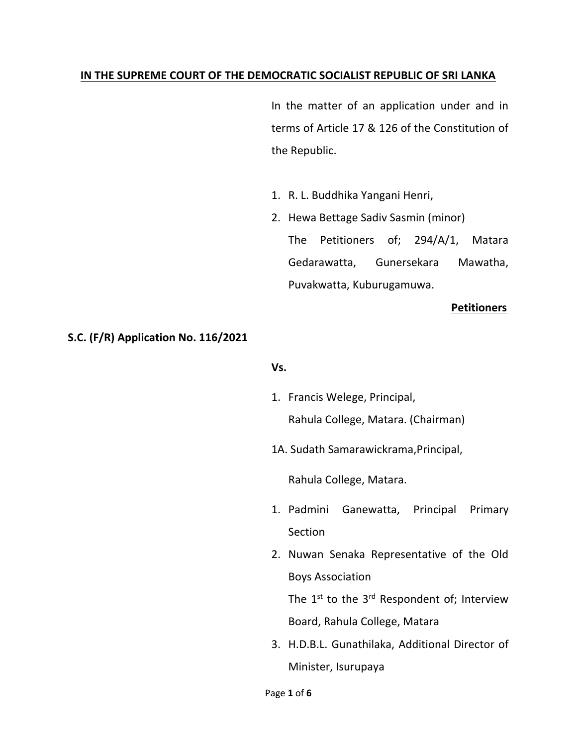#### **IN THE SUPREME COURT OF THE DEMOCRATIC SOCIALIST REPUBLIC OF SRI LANKA**

In the matter of an application under and in terms of Article 17 & 126 of the Constitution of the Republic.

- 1. R. L. Buddhika Yangani Henri,
- 2. Hewa Bettage Sadiv Sasmin (minor) The Petitioners of; 294/A/1, Matara Gedarawatta, Gunersekara Mawatha, Puvakwatta, Kuburugamuwa.

#### **Petitioners**

#### **S.C. (F/R) Application No. 116/2021**

#### **Vs.**

- 1. Francis Welege, Principal, Rahula College, Matara. (Chairman)
- 1A. Sudath Samarawickrama,Principal,

Rahula College, Matara.

- 1. Padmini Ganewatta, Principal Primary Section
- 2. Nuwan Senaka Representative of the Old Boys Association

The  $1^{st}$  to the  $3^{rd}$  Respondent of; Interview Board, Rahula College, Matara

3. H.D.B.L. Gunathilaka, Additional Director of Minister, Isurupaya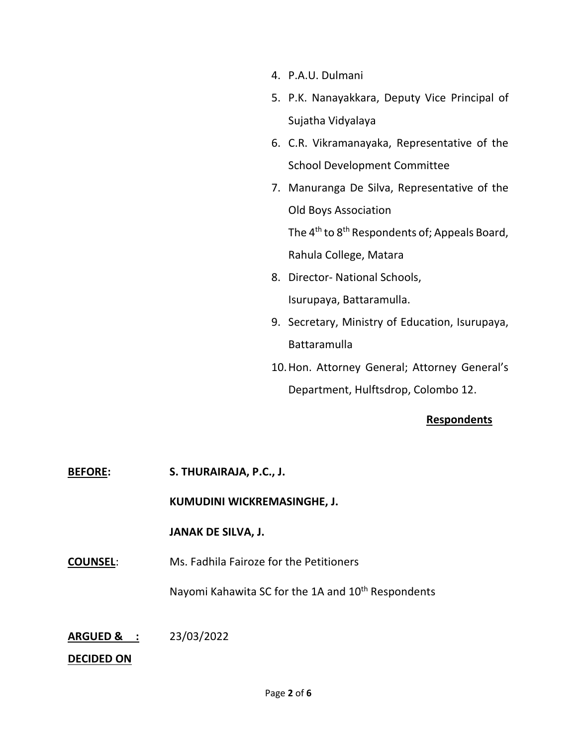- 4. P.A.U. Dulmani
- 5. P.K. Nanayakkara, Deputy Vice Principal of Sujatha Vidyalaya
- 6. C.R. Vikramanayaka, Representative of the School Development Committee
- 7. Manuranga De Silva, Representative of the Old Boys Association

The 4<sup>th</sup> to 8<sup>th</sup> Respondents of; Appeals Board, Rahula College, Matara

- 8. Director- National Schools, Isurupaya, Battaramulla.
- 9. Secretary, Ministry of Education, Isurupaya, Battaramulla
- 10.Hon. Attorney General; Attorney General's Department, Hulftsdrop, Colombo 12.

# **Respondents**

**BEFORE: S. THURAIRAJA, P.C., J.**

**KUMUDINI WICKREMASINGHE, J.**

## **JANAK DE SILVA, J.**

**COUNSEL**: Ms. Fadhila Fairoze for the Petitioners

Nayomi Kahawita SC for the 1A and 10<sup>th</sup> Respondents

# **ARGUED & :** 23/03/2022

## **DECIDED ON**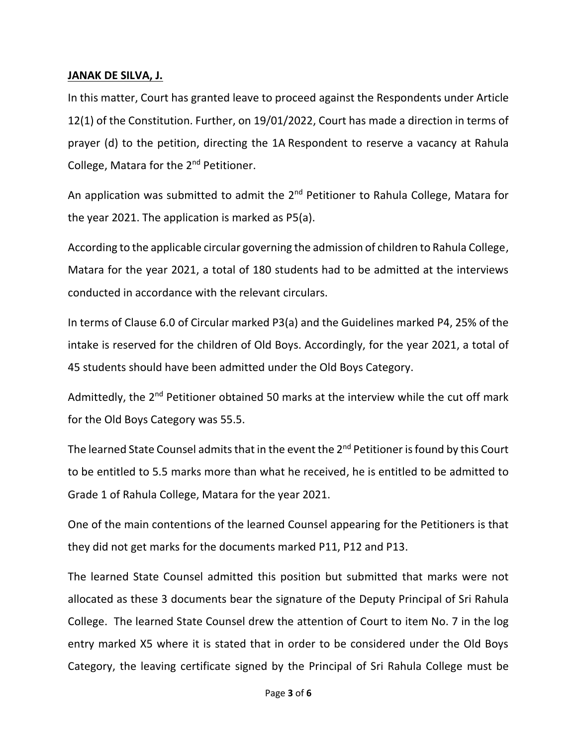## **JANAK DE SILVA, J.**

In this matter, Court has granted leave to proceed against the Respondents under Article 12(1) of the Constitution. Further, on 19/01/2022, Court has made a direction in terms of prayer (d) to the petition, directing the 1A Respondent to reserve a vacancy at Rahula College, Matara for the 2nd Petitioner.

An application was submitted to admit the 2<sup>nd</sup> Petitioner to Rahula College, Matara for the year 2021. The application is marked as P5(a).

According to the applicable circular governing the admission of children to Rahula College, Matara for the year 2021, a total of 180 students had to be admitted at the interviews conducted in accordance with the relevant circulars.

In terms of Clause 6.0 of Circular marked P3(a) and the Guidelines marked P4, 25% of the intake is reserved for the children of Old Boys. Accordingly, for the year 2021, a total of 45 students should have been admitted under the Old Boys Category.

Admittedly, the  $2^{nd}$  Petitioner obtained 50 marks at the interview while the cut off mark for the Old Boys Category was 55.5.

The learned State Counsel admits that in the event the 2<sup>nd</sup> Petitioner is found by this Court to be entitled to 5.5 marks more than what he received, he is entitled to be admitted to Grade 1 of Rahula College, Matara for the year 2021.

One of the main contentions of the learned Counsel appearing for the Petitioners is that they did not get marks for the documents marked P11, P12 and P13.

The learned State Counsel admitted this position but submitted that marks were not allocated as these 3 documents bear the signature of the Deputy Principal of Sri Rahula College. The learned State Counsel drew the attention of Court to item No. 7 in the log entry marked X5 where it is stated that in order to be considered under the Old Boys Category, the leaving certificate signed by the Principal of Sri Rahula College must be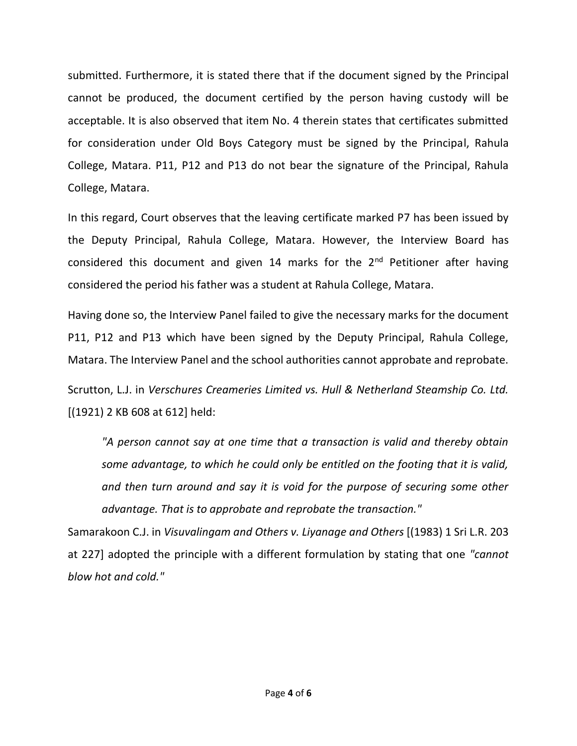submitted. Furthermore, it is stated there that if the document signed by the Principal cannot be produced, the document certified by the person having custody will be acceptable. It is also observed that item No. 4 therein states that certificates submitted for consideration under Old Boys Category must be signed by the Principal, Rahula College, Matara. P11, P12 and P13 do not bear the signature of the Principal, Rahula College, Matara.

In this regard, Court observes that the leaving certificate marked P7 has been issued by the Deputy Principal, Rahula College, Matara. However, the Interview Board has considered this document and given 14 marks for the  $2<sup>nd</sup>$  Petitioner after having considered the period his father was a student at Rahula College, Matara.

Having done so, the Interview Panel failed to give the necessary marks for the document P11, P12 and P13 which have been signed by the Deputy Principal, Rahula College, Matara. The Interview Panel and the school authorities cannot approbate and reprobate.

Scrutton, L.J. in *Verschures Creameries Limited vs. Hull & Netherland Steamship Co. Ltd.* [(1921) 2 KB 608 at 612] held:

*"A person cannot say at one time that a transaction is valid and thereby obtain some advantage, to which he could only be entitled on the footing that it is valid, and then turn around and say it is void for the purpose of securing some other advantage. That is to approbate and reprobate the transaction."*

Samarakoon C.J. in *Visuvalingam and Others v. Liyanage and Others* [(1983) 1 Sri L.R. 203 at 227] adopted the principle with a different formulation by stating that one *"cannot blow hot and cold."*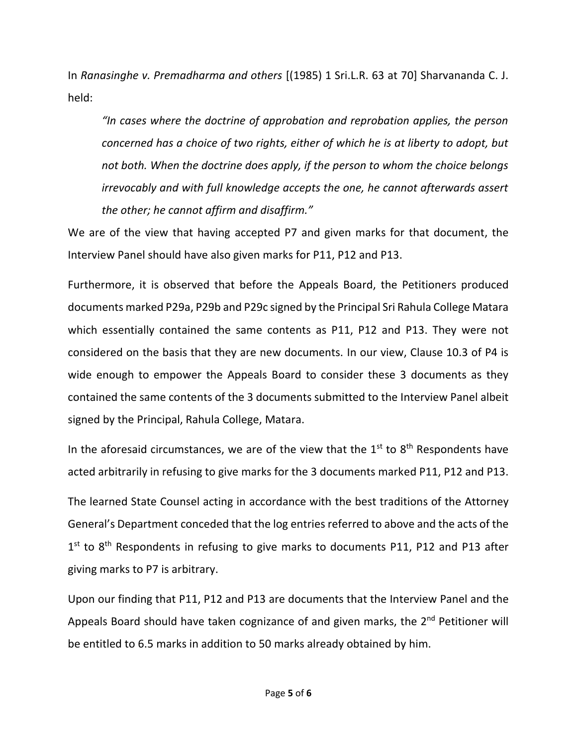In *Ranasinghe v. Premadharma and others* [(1985) 1 Sri.L.R. 63 at 70] Sharvananda C. J. held:

*"In cases where the doctrine of approbation and reprobation applies, the person concerned has a choice of two rights, either of which he is at liberty to adopt, but not both. When the doctrine does apply, if the person to whom the choice belongs irrevocably and with full knowledge accepts the one, he cannot afterwards assert the other; he cannot affirm and disaffirm."*

We are of the view that having accepted P7 and given marks for that document, the Interview Panel should have also given marks for P11, P12 and P13.

Furthermore, it is observed that before the Appeals Board, the Petitioners produced documents marked P29a, P29b and P29c signed by the Principal Sri Rahula College Matara which essentially contained the same contents as P11, P12 and P13. They were not considered on the basis that they are new documents. In our view, Clause 10.3 of P4 is wide enough to empower the Appeals Board to consider these 3 documents as they contained the same contents of the 3 documents submitted to the Interview Panel albeit signed by the Principal, Rahula College, Matara.

In the aforesaid circumstances, we are of the view that the  $1<sup>st</sup>$  to  $8<sup>th</sup>$  Respondents have acted arbitrarily in refusing to give marks for the 3 documents marked P11, P12 and P13.

The learned State Counsel acting in accordance with the best traditions of the Attorney General's Department conceded that the log entriesreferred to above and the acts of the 1<sup>st</sup> to 8<sup>th</sup> Respondents in refusing to give marks to documents P11, P12 and P13 after giving marks to P7 is arbitrary.

Upon our finding that P11, P12 and P13 are documents that the Interview Panel and the Appeals Board should have taken cognizance of and given marks, the 2<sup>nd</sup> Petitioner will be entitled to 6.5 marks in addition to 50 marks already obtained by him.